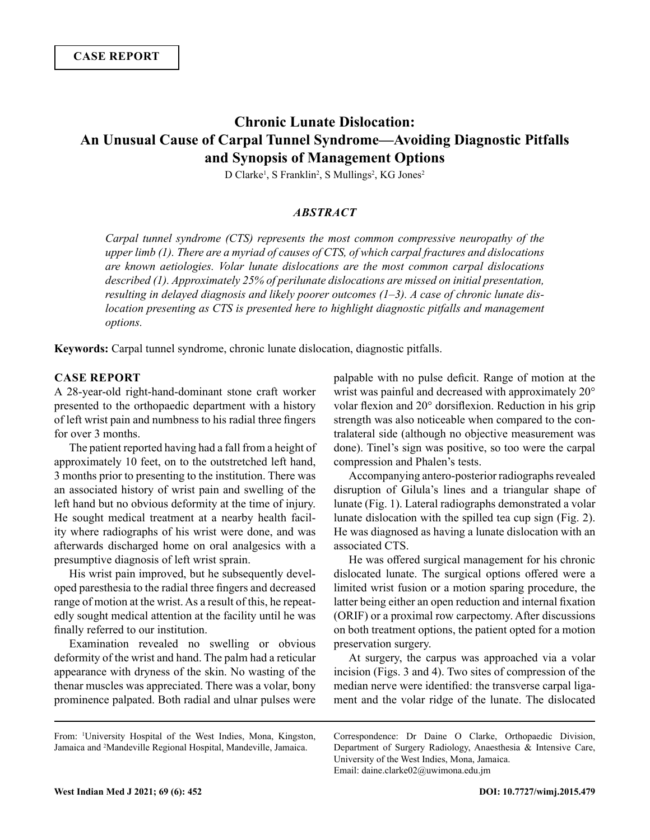# **Chronic Lunate Dislocation: An Unusual Cause of Carpal Tunnel Syndrome—Avoiding Diagnostic Pitfalls and Synopsis of Management Options**

D Clarke<sup>1</sup>, S Franklin<sup>2</sup>, S Mullings<sup>2</sup>, KG Jones<sup>2</sup>

### *ABSTRACT*

*Carpal tunnel syndrome (CTS) represents the most common compressive neuropathy of the upper limb (1). There are a myriad of causes of CTS, of which carpal fractures and dislocations are known aetiologies. Volar lunate dislocations are the most common carpal dislocations described (1). Approximately 25% of perilunate dislocations are missed on initial presentation, resulting in delayed diagnosis and likely poorer outcomes (1–3). A case of chronic lunate dislocation presenting as CTS is presented here to highlight diagnostic pitfalls and management options.*

**Keywords:** Carpal tunnel syndrome, chronic lunate dislocation, diagnostic pitfalls.

#### **CASE REPORT**

A 28-year-old right-hand-dominant stone craft worker presented to the orthopaedic department with a history of left wrist pain and numbness to his radial three fingers for over 3 months.

The patient reported having had a fall from a height of approximately 10 feet, on to the outstretched left hand, 3 months prior to presenting to the institution. There was an associated history of wrist pain and swelling of the left hand but no obvious deformity at the time of injury. He sought medical treatment at a nearby health facility where radiographs of his wrist were done, and was afterwards discharged home on oral analgesics with a presumptive diagnosis of left wrist sprain.

His wrist pain improved, but he subsequently developed paresthesia to the radial three fingers and decreased range of motion at the wrist. As a result of this, he repeatedly sought medical attention at the facility until he was finally referred to our institution.

Examination revealed no swelling or obvious deformity of the wrist and hand. The palm had a reticular appearance with dryness of the skin. No wasting of the thenar muscles was appreciated. There was a volar, bony prominence palpated. Both radial and ulnar pulses were

palpable with no pulse deficit. Range of motion at the wrist was painful and decreased with approximately 20° volar flexion and 20° dorsiflexion. Reduction in his grip strength was also noticeable when compared to the contralateral side (although no objective measurement was done). Tinel's sign was positive, so too were the carpal compression and Phalen's tests.

Accompanying antero-posterior radiographs revealed disruption of Gilula's lines and a triangular shape of lunate (Fig. 1). Lateral radiographs demonstrated a volar lunate dislocation with the spilled tea cup sign (Fig. 2). He was diagnosed as having a lunate dislocation with an associated CTS.

He was offered surgical management for his chronic dislocated lunate. The surgical options offered were a limited wrist fusion or a motion sparing procedure, the latter being either an open reduction and internal fixation (ORIF) or a proximal row carpectomy. After discussions on both treatment options, the patient opted for a motion preservation surgery.

At surgery, the carpus was approached via a volar incision (Figs. 3 and 4). Two sites of compression of the median nerve were identified: the transverse carpal ligament and the volar ridge of the lunate. The dislocated

Correspondence: Dr Daine O Clarke, Orthopaedic Division, Department of Surgery Radiology, Anaesthesia & Intensive Care, University of the West Indies, Mona, Jamaica. Email: daine.clarke02@uwimona.edu.jm

From: <sup>1</sup> University Hospital of the West Indies, Mona, Kingston, Jamaica and 2 Mandeville Regional Hospital, Mandeville, Jamaica.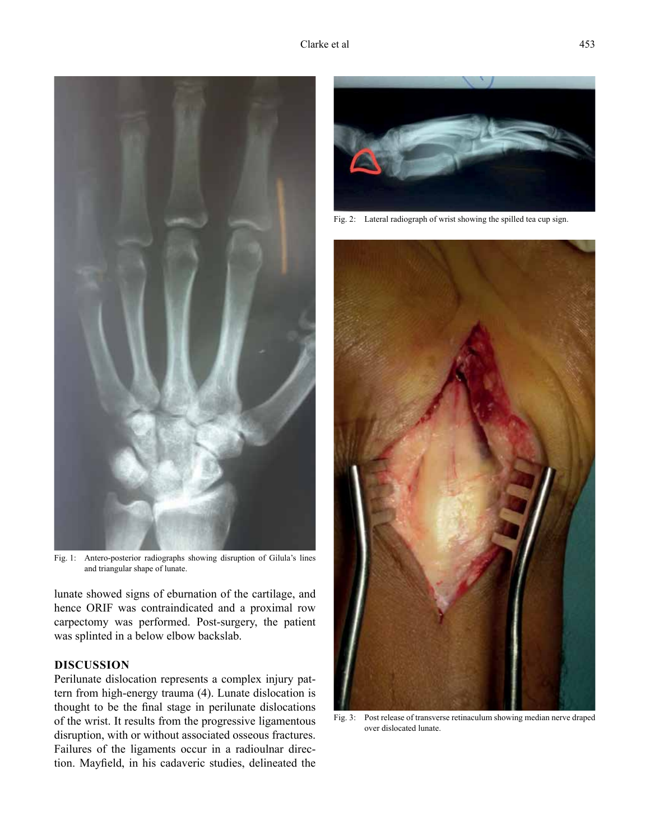

Fig. 1: Antero-posterior radiographs showing disruption of Gilula's lines and triangular shape of lunate.

lunate showed signs of eburnation of the cartilage, and hence ORIF was contraindicated and a proximal row carpectomy was performed. Post-surgery, the patient was splinted in a below elbow backslab.

## **DISCUSSION**

Perilunate dislocation represents a complex injury pattern from high-energy trauma (4). Lunate dislocation is thought to be the final stage in perilunate dislocations of the wrist. It results from the progressive ligamentous disruption, with or without associated osseous fractures. Failures of the ligaments occur in a radioulnar direction. Mayfield, in his cadaveric studies, delineated the



Fig. 2: Lateral radiograph of wrist showing the spilled tea cup sign.



Fig. 3: Post release of transverse retinaculum showing median nerve draped over dislocated lunate.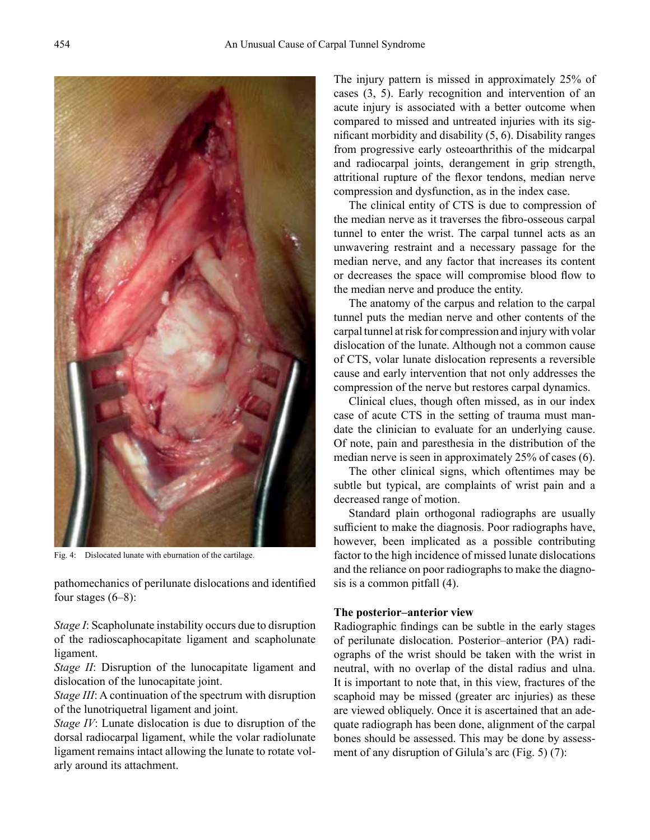

Fig. 4: Dislocated lunate with eburnation of the cartilage.

pathomechanics of perilunate dislocations and identified four stages  $(6-8)$ :

*Stage I*: Scapholunate instability occurs due to disruption of the radioscaphocapitate ligament and scapholunate ligament.

*Stage II*: Disruption of the lunocapitate ligament and dislocation of the lunocapitate joint.

*Stage III*: A continuation of the spectrum with disruption of the lunotriquetral ligament and joint.

*Stage IV*: Lunate dislocation is due to disruption of the dorsal radiocarpal ligament, while the volar radiolunate ligament remains intact allowing the lunate to rotate volarly around its attachment.

The injury pattern is missed in approximately 25% of cases (3, 5). Early recognition and intervention of an acute injury is associated with a better outcome when compared to missed and untreated injuries with its significant morbidity and disability (5, 6). Disability ranges from progressive early osteoarthrithis of the midcarpal and radiocarpal joints, derangement in grip strength, attritional rupture of the flexor tendons, median nerve compression and dysfunction, as in the index case.

The clinical entity of CTS is due to compression of the median nerve as it traverses the fibro-osseous carpal tunnel to enter the wrist. The carpal tunnel acts as an unwavering restraint and a necessary passage for the median nerve, and any factor that increases its content or decreases the space will compromise blood flow to the median nerve and produce the entity.

The anatomy of the carpus and relation to the carpal tunnel puts the median nerve and other contents of the carpal tunnel at risk for compression and injury with volar dislocation of the lunate. Although not a common cause of CTS, volar lunate dislocation represents a reversible cause and early intervention that not only addresses the compression of the nerve but restores carpal dynamics.

Clinical clues, though often missed, as in our index case of acute CTS in the setting of trauma must mandate the clinician to evaluate for an underlying cause. Of note, pain and paresthesia in the distribution of the median nerve is seen in approximately 25% of cases (6).

The other clinical signs, which oftentimes may be subtle but typical, are complaints of wrist pain and a decreased range of motion.

Standard plain orthogonal radiographs are usually sufficient to make the diagnosis. Poor radiographs have, however, been implicated as a possible contributing factor to the high incidence of missed lunate dislocations and the reliance on poor radiographs to make the diagnosis is a common pitfall (4).

#### **The posterior–anterior view**

Radiographic findings can be subtle in the early stages of perilunate dislocation. Posterior–anterior (PA) radiographs of the wrist should be taken with the wrist in neutral, with no overlap of the distal radius and ulna. It is important to note that, in this view, fractures of the scaphoid may be missed (greater arc injuries) as these are viewed obliquely. Once it is ascertained that an adequate radiograph has been done, alignment of the carpal bones should be assessed. This may be done by assessment of any disruption of Gilula's arc (Fig. 5) (7):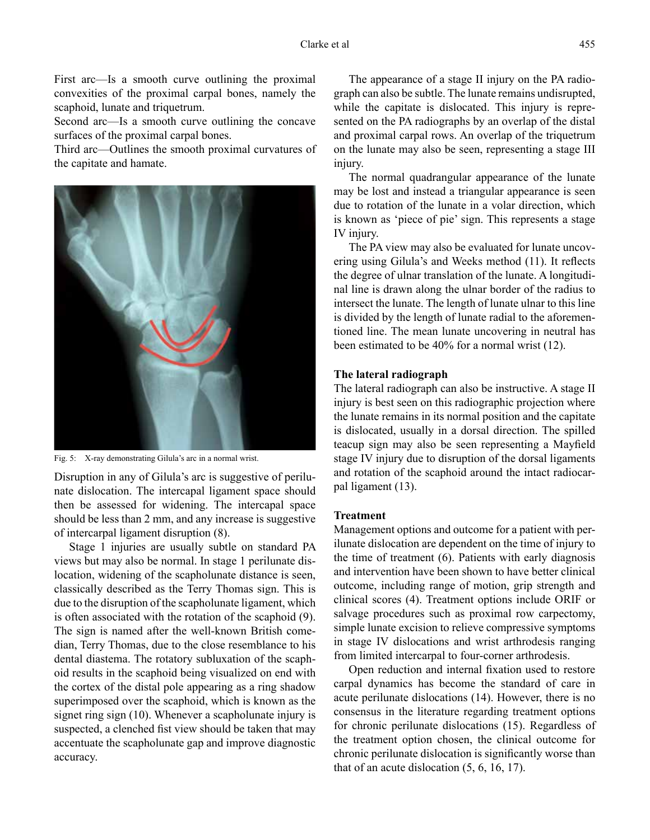First arc—Is a smooth curve outlining the proximal convexities of the proximal carpal bones, namely the scaphoid, lunate and triquetrum.

Second arc—Is a smooth curve outlining the concave surfaces of the proximal carpal bones.

Third arc—Outlines the smooth proximal curvatures of the capitate and hamate.



Fig. 5: X-ray demonstrating Gilula's arc in a normal wrist.

Disruption in any of Gilula's arc is suggestive of perilunate dislocation. The intercapal ligament space should then be assessed for widening. The intercapal space should be less than 2 mm, and any increase is suggestive of intercarpal ligament disruption (8).

Stage 1 injuries are usually subtle on standard PA views but may also be normal. In stage 1 perilunate dislocation, widening of the scapholunate distance is seen, classically described as the Terry Thomas sign. This is due to the disruption of the scapholunate ligament, which is often associated with the rotation of the scaphoid (9). The sign is named after the well-known British comedian, Terry Thomas, due to the close resemblance to his dental diastema. The rotatory subluxation of the scaphoid results in the scaphoid being visualized on end with the cortex of the distal pole appearing as a ring shadow superimposed over the scaphoid, which is known as the signet ring sign (10). Whenever a scapholunate injury is suspected, a clenched fist view should be taken that may accentuate the scapholunate gap and improve diagnostic accuracy.

The appearance of a stage II injury on the PA radiograph can also be subtle. The lunate remains undisrupted, while the capitate is dislocated. This injury is represented on the PA radiographs by an overlap of the distal and proximal carpal rows. An overlap of the triquetrum on the lunate may also be seen, representing a stage III injury.

The normal quadrangular appearance of the lunate may be lost and instead a triangular appearance is seen due to rotation of the lunate in a volar direction, which is known as 'piece of pie' sign. This represents a stage IV injury.

The PA view may also be evaluated for lunate uncovering using Gilula's and Weeks method (11). It reflects the degree of ulnar translation of the lunate. A longitudinal line is drawn along the ulnar border of the radius to intersect the lunate. The length of lunate ulnar to this line is divided by the length of lunate radial to the aforementioned line. The mean lunate uncovering in neutral has been estimated to be 40% for a normal wrist (12).

### **The lateral radiograph**

The lateral radiograph can also be instructive. A stage II injury is best seen on this radiographic projection where the lunate remains in its normal position and the capitate is dislocated, usually in a dorsal direction. The spilled teacup sign may also be seen representing a Mayfield stage IV injury due to disruption of the dorsal ligaments and rotation of the scaphoid around the intact radiocarpal ligament (13).

#### **Treatment**

Management options and outcome for a patient with perilunate dislocation are dependent on the time of injury to the time of treatment (6). Patients with early diagnosis and intervention have been shown to have better clinical outcome, including range of motion, grip strength and clinical scores (4). Treatment options include ORIF or salvage procedures such as proximal row carpectomy, simple lunate excision to relieve compressive symptoms in stage IV dislocations and wrist arthrodesis ranging from limited intercarpal to four-corner arthrodesis.

Open reduction and internal fixation used to restore carpal dynamics has become the standard of care in acute perilunate dislocations (14). However, there is no consensus in the literature regarding treatment options for chronic perilunate dislocations (15). Regardless of the treatment option chosen, the clinical outcome for chronic perilunate dislocation is significantly worse than that of an acute dislocation (5, 6, 16, 17).